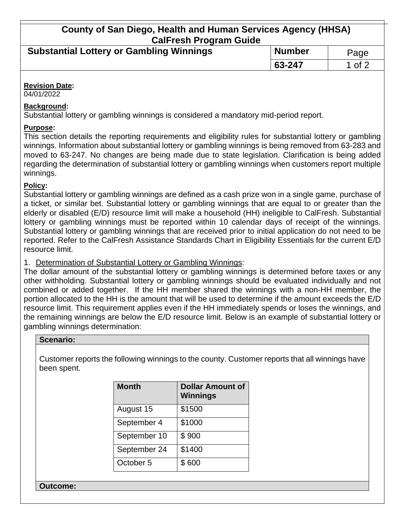# **County of San Diego, Health and Human Services Agency (HHSA) CalFresh Program Guide**

| <b>Substantial Lottery or Gambling Winnings</b> | <b>Number</b> | Page   |
|-------------------------------------------------|---------------|--------|
|                                                 | $163 - 247$   | 1 of 2 |

#### **Revision Date:**

04/01/2022

### **Background:**

Substantial lottery or gambling winnings is considered a mandatory mid-period report.

### **Purpose:**

This section details the reporting requirements and eligibility rules for substantial lottery or gambling winnings. Information about substantial lottery or gambling winnings is being removed from 63-283 and moved to 63-247. No changes are being made due to state legislation. Clarification is being added regarding the determination of substantial lottery or gambling winnings when customers report multiple winnings.

### **Policy:**

Substantial lottery or gambling winnings are defined as a cash prize won in a single game, purchase of a ticket, or similar bet. Substantial lottery or gambling winnings that are equal to or greater than the elderly or disabled (E/D) resource limit will make a household (HH) ineligible to CalFresh. Substantial lottery or gambling winnings must be reported within 10 calendar days of receipt of the winnings. Substantial lottery or gambling winnings that are received prior to initial application do not need to be reported. Refer to the CalFresh Assistance Standards Chart in Eligibility Essentials for the current E/D resource limit.

1. Determination of Substantial Lottery or Gambling Winnings:

The dollar amount of the substantial lottery or gambling winnings is determined before taxes or any other withholding. Substantial lottery or gambling winnings should be evaluated individually and not combined or added together. If the HH member shared the winnings with a non-HH member, the portion allocated to the HH is the amount that will be used to determine if the amount exceeds the E/D resource limit. This requirement applies even if the HH immediately spends or loses the winnings, and the remaining winnings are below the E/D resource limit. Below is an example of substantial lottery or gambling winnings determination:

### **Scenario:**

Customer reports the following winnings to the county. Customer reports that all winnings have been spent.

| <b>Month</b> | <b>Dollar Amount of</b><br><b>Winnings</b> |
|--------------|--------------------------------------------|
| August 15    | \$1500                                     |
| September 4  | \$1000                                     |
| September 10 | \$900                                      |
| September 24 | \$1400                                     |
| October 5    | \$600                                      |

**Outcome:**